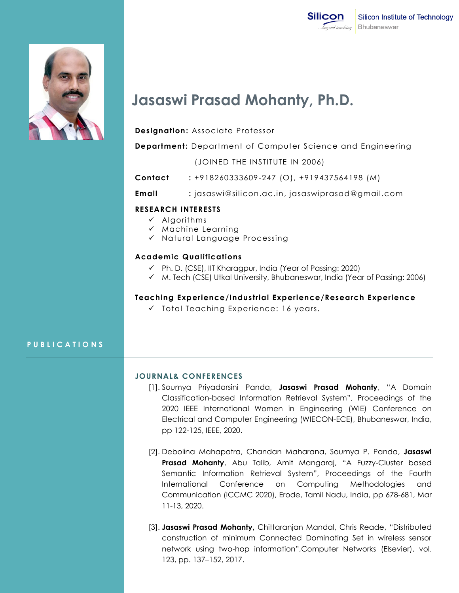



# **Jasaswi Prasad Mohanty, Ph.D.**

**Designation:** Associate Professor

**Department:** Department of Computer Science and Engineering

(JOINED THE INSTITUTE IN 2006)

- **Contact :** +918260333609-247 (O), +919437564198 (M)
- **Email :** jasaswi@silicon.ac.in, jasaswiprasad@gmail.com

## **RESEARCH INTERESTS**

- $\checkmark$  Algorithms
- $\checkmark$  Machine Learning
- $\checkmark$  Natural Language Processing

## **Academic Qualifications**

- Ph. D. (CSE), IIT Kharagpur, India (Year of Passing: 2020)
- M. Tech (CSE) Utkal University, Bhubaneswar, India (Year of Passing: 2006)

#### **Teaching Experience/Industrial Experience/Research Experience**

 $\checkmark$  Total Teaching Experience: 16 years.

# **P U B L I C A T I O N S**

#### **JOURNAL& CONFERENCES**

- [1]. Soumya Priyadarsini Panda, **Jasaswi Prasad Mohanty**, "A Domain Classification-based Information Retrieval System", Proceedings of the 2020 IEEE International Women in Engineering (WIE) Conference on Electrical and Computer Engineering (WIECON-ECE), Bhubaneswar, India, pp 122-125, IEEE, 2020.
- [2]. Debolina Mahapatra, Chandan Maharana, Soumya P. Panda, **Jasaswi Prasad Mohanty**, Abu Talib, Amit Mangaraj, "A Fuzzy-Cluster based Semantic Information Retrieval System", Proceedings of the Fourth International Conference on Computing Methodologies and Communication (ICCMC 2020), Erode, Tamil Nadu, India, pp 678-681, Mar 11-13, 2020.
- [3]. **Jasaswi Prasad Mohanty,** Chittaranjan Mandal, Chris Reade, "Distributed construction of minimum Connected Dominating Set in wireless sensor network using two-hop information",Computer Networks (Elsevier), vol. 123, pp. 137–152, 2017.